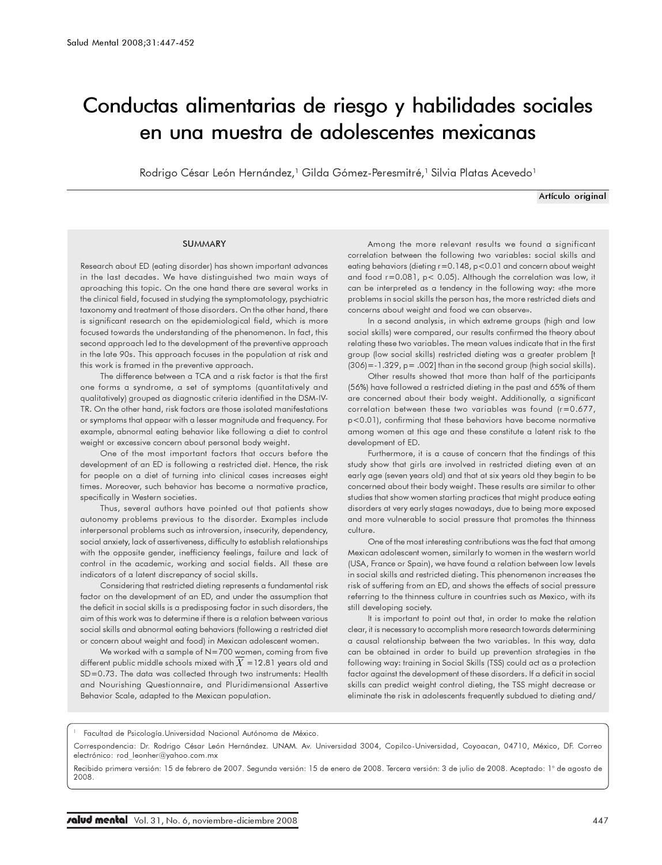# Conductas alimentarias de riesgo y habilidades sociales en una muestra de adolescentes mexicanas

Rodrigo César León Hernández,<sup>1</sup> Gilda Gómez-Peresmitré,<sup>1</sup> Silvia Platas Acevedo<sup>1</sup>

Artículo original

#### **SUMMARY**

Research about ED (eating disorder) has shown important advances in the last decades. We have distinguished two main ways of aproaching this topic. On the one hand there are several works in the clinical field, focused in studying the symptomatology, psychiatric taxonomy and treatment of those disorders. On the other hand, there is significant research on the epidemiological field, which is more focused towards the understanding of the phenomenon. In fact, this second approach led to the development of the preventive approach in the late 90s. This approach focuses in the population at risk and this work is framed in the preventive approach.

The difference between a TCA and a risk factor is that the first one forms a syndrome, a set of symptoms (quantitatively and qualitatively) grouped as diagnostic criteria identified in the DSM-IV-TR. On the other hand, risk factors are those isolated manifestations or symptoms that appear with a lesser magnitude and frequency. For example, abnormal eating behavior like following a diet to control weight or excessive concern about personal body weight.

One of the most important factors that occurs before the development of an ED is following a restricted diet. Hence, the risk for people on a diet of turning into clinical cases increases eight times. Moreover, such behavior has become a normative practice, specifically in Western societies.

Thus, several authors have pointed out that patients show autonomy problems previous to the disorder. Examples include interpersonal problems such as introversion, insecurity, dependency, social anxiety, lack of assertiveness, difficulty to establish relationships with the opposite gender, inefficiency feelings, failure and lack of control in the academic, working and social fields. All these are indicators of a latent discrepancy of social skills.

Considering that restricted dieting represents a fundamental risk factor on the development of an ED, and under the assumption that the deficit in social skills is a predisposing factor in such disorders, the aim of this work was to determine if there is a relation between various social skills and abnormal eating behaviors (following a restricted diet or concern about weight and food) in Mexican adolescent women.

We worked with a sample of N=700 women, coming from five different public middle schools mixed with  $X = 12.81$  years old and SD=0.73. The data was collected through two instruments: Health and Nourishing Questionnaire, and Pluridimensional Assertive Behavior Scale, adapted to the Mexican population.

Among the more relevant results we found a significant correlation between the following two variables: social skills and eating behaviors (dieting r=0.148, p<0.01 and concern about weight and food r=0.081, p< 0.05). Although the correlation was low, it can be interpreted as a tendency in the following way: «the more problems in social skills the person has, the more restricted diets and concerns about weight and food we can observe».

In a second analysis, in which extreme groups (high and low social skills) were compared, our results confirmed the theory about relating these two variables. The mean values indicate that in the first group (low social skills) restricted dieting was a greater problem [t  $(306)$  = -1.329, p = .002] than in the second group (high social skills).

Other results showed that more than half of the participants (56%) have followed a restricted dieting in the past and 65% of them are concerned about their body weight. Additionally, a significant correlation between these two variables was found (r=0.677, p<0.01), confirming that these behaviors have become normative among women at this age and these constitute a latent risk to the development of ED.

Furthermore, it is a cause of concern that the findings of this study show that girls are involved in restricted dieting even at an early age (seven years old) and that at six years old they begin to be concerned about their body weight. These results are similar to other studies that show women starting practices that might produce eating disorders at very early stages nowadays, due to being more exposed and more vulnerable to social pressure that promotes the thinness culture.

One of the most interesting contributions was the fact that among Mexican adolescent women, similarly to women in the western world (USA, France or Spain), we have found a relation between low levels in social skills and restricted dieting. This phenomenon increases the risk of suffering from an ED, and shows the effects of social pressure referring to the thinness culture in countries such as Mexico, with its still developing society.

It is important to point out that, in order to make the relation clear, it is necessary to accomplish more research towards determining a causal relationship between the two variables. In this way, data can be obtained in order to build up prevention strategies in the following way: training in Social Skills (TSS) could act as a protection factor against the development of these disorders. If a deficit in social skills can predict weight control dieting, the TSS might decrease or eliminate the risk in adolescents frequently subdued to dieting and/

Correspondencia: Dr. Rodrigo César León Hernández. UNAM. Av. Universidad 3004, Copilco-Universidad, Coyoacan, 04710, México, DF. Correo electrónico: rod\_leonher@yahoo.com.mx

Recibido primera versión: 15 de febrero de 2007. Segunda versión: 15 de enero de 2008. Tercera versión: 3 de julio de 2008. Aceptado: 1° de agosto de 2008.

<sup>1</sup> Facultad de Psicología.Universidad Nacional Autónoma de México.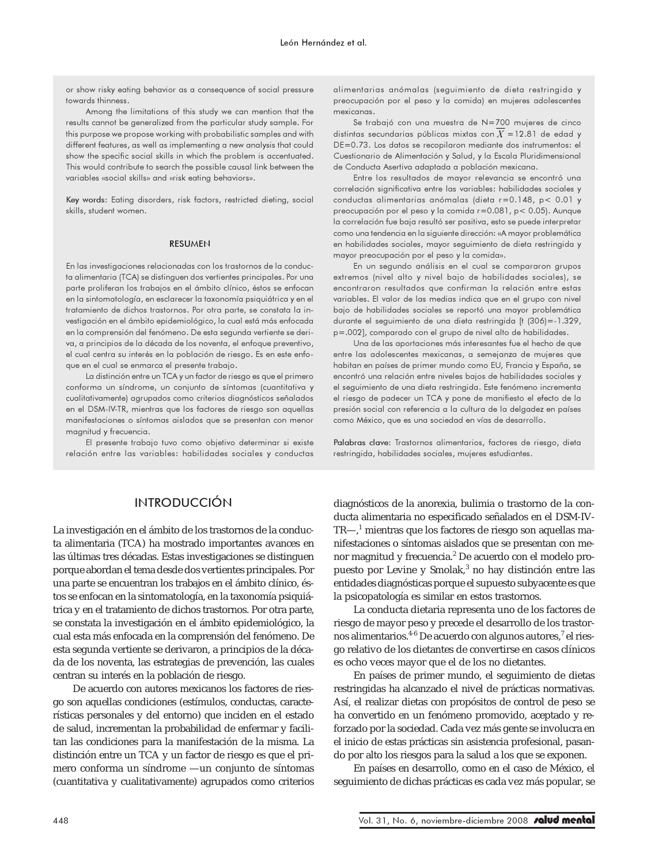or show risky eating behavior as a consequence of social pressure towards thinness.

Among the limitations of this study we can mention that the results cannot be generalized from the particular study sample. For this purpose we propose working with probabilistic samples and with different features, as well as implementing a new analysis that could show the specific social skills in which the problem is accentuated. This would contribute to search the possible causal link between the variables «social skills» and «risk eating behaviors».

Key words: Eating disorders, risk factors, restricted dieting, social skills, student women.

#### RESUMEN

En las investigaciones relacionadas con los trastornos de la conducta alimentaria (TCA) se distinguen dos vertientes principales. Por una parte proliferan los trabajos en el ámbito clínico, éstos se enfocan en la sintomatología, en esclarecer la taxonomía psiquiátrica y en el tratamiento de dichos trastornos. Por otra parte, se constata la investigación en el ámbito epidemiológico, la cual está más enfocada en la comprensión del fenómeno. De esta segunda vertiente se deriva, a principios de la década de los noventa, el enfoque preventivo, el cual centra su interés en la población de riesgo. Es en este enfoque en el cual se enmarca el presente trabajo.

La distinción entre un TCA y un factor de riesgo es que el primero conforma un síndrome, un conjunto de síntomas (cuantitativa y cualitativamente) agrupados como criterios diagnósticos señalados en el DSM-IV-TR, mientras que los factores de riesgo son aquellas manifestaciones o síntomas aislados que se presentan con menor magnitud y frecuencia.

El presente trabajo tuvo como objetivo determinar si existe relación entre las variables: habilidades sociales y conductas

# INTRODUCCIÓN

La investigación en el ámbito de los trastornos de la conducta alimentaria (TCA) ha mostrado importantes avances en las últimas tres décadas. Estas investigaciones se distinguen porque abordan el tema desde dos vertientes principales. Por una parte se encuentran los trabajos en el ámbito clínico, éstos se enfocan en la sintomatología, en la taxonomía psiquiátrica y en el tratamiento de dichos trastornos. Por otra parte, se constata la investigación en el ámbito epidemiológico, la cual esta más enfocada en la comprensión del fenómeno. De esta segunda vertiente se derivaron, a principios de la década de los noventa, las estrategias de prevención, las cuales centran su interés en la población de riesgo.

De acuerdo con autores mexicanos los factores de riesgo son aquellas condiciones (estímulos, conductas, características personales y del entorno) que inciden en el estado de salud, incrementan la probabilidad de enfermar y facilitan las condiciones para la manifestación de la misma. La distinción entre un TCA y un factor de riesgo es que el primero conforma un síndrome —un conjunto de síntomas (cuantitativa y cualitativamente) agrupados como criterios alimentarias anómalas (seguimiento de dieta restringida y preocupación por el peso y la comida) en mujeres adolescentes mexicanas.

Se trabajó con una muestra de N=700 mujeres de cinco distintas secundarias públicas mixtas con  $X = 12.81$  de edad y DE=0.73. Los datos se recopilaron mediante dos instrumentos: el Cuestionario de Alimentación y Salud, y la Escala Pluridimensional de Conducta Asertiva adaptada a población mexicana.

Entre los resultados de mayor relevancia se encontró una correlación significativa entre las variables: habilidades sociales y conductas alimentarias anómalas (dieta r=0.148, p< 0.01 y preocupación por el peso y la comida r=0.081, p< 0.05). Aunque la correlación fue baja resultó ser positiva, esto se puede interpretar como una tendencia en la siguiente dirección: «A mayor problemática en habilidades sociales, mayor seguimiento de dieta restringida y mayor preocupación por el peso y la comida».

En un segundo análisis en el cual se compararon grupos extremos (nivel alto y nivel bajo de habilidades sociales), se encontraron resultados que confirman la relación entre estas variables. El valor de las medias indica que en el grupo con nivel bajo de habilidades sociales se reportó una mayor problemática durante el seguimiento de una dieta restringida [t (306)=-1.329, p=.002], comparado con el grupo de nivel alto de habilidades.

Una de las aportaciones más interesantes fue el hecho de que entre las adolescentes mexicanas, a semejanza de mujeres que habitan en países de primer mundo como EU, Francia y España, se encontró una relación entre niveles bajos de habilidades sociales y el seguimiento de una dieta restringida. Este fenómeno incrementa el riesgo de padecer un TCA y pone de manifiesto el efecto de la presión social con referencia a la cultura de la delgadez en países como México, que es una sociedad en vías de desarrollo.

Palabras clave: Trastornos alimentarios, factores de riesgo, dieta restringida, habilidades sociales, mujeres estudiantes.

diagnósticos de la anorexia, bulimia o trastorno de la conducta alimentaria no especificado señalados en el DSM-IV-TR—,<sup>1</sup> mientras que los factores de riesgo son aquellas manifestaciones o síntomas aislados que se presentan con menor magnitud y frecuencia.<sup>2</sup> De acuerdo con el modelo propuesto por Levine y Smolak,<sup>3</sup> no hay distinción entre las entidades diagnósticas porque el supuesto subyacente es que la psicopatología es similar en estos trastornos.

La conducta dietaria representa uno de los factores de riesgo de mayor peso y precede el desarrollo de los trastornos alimentarios.<sup>4-6</sup> De acuerdo con algunos autores,<sup>7</sup> el riesgo relativo de los dietantes de convertirse en casos clínicos es ocho veces mayor que el de los no dietantes.

En países de primer mundo, el seguimiento de dietas restringidas ha alcanzado el nivel de prácticas normativas. Así, el realizar dietas con propósitos de control de peso se ha convertido en un fenómeno promovido, aceptado y reforzado por la sociedad. Cada vez más gente se involucra en el inicio de estas prácticas sin asistencia profesional, pasando por alto los riesgos para la salud a los que se exponen.

En países en desarrollo, como en el caso de México, el seguimiento de dichas prácticas es cada vez más popular, se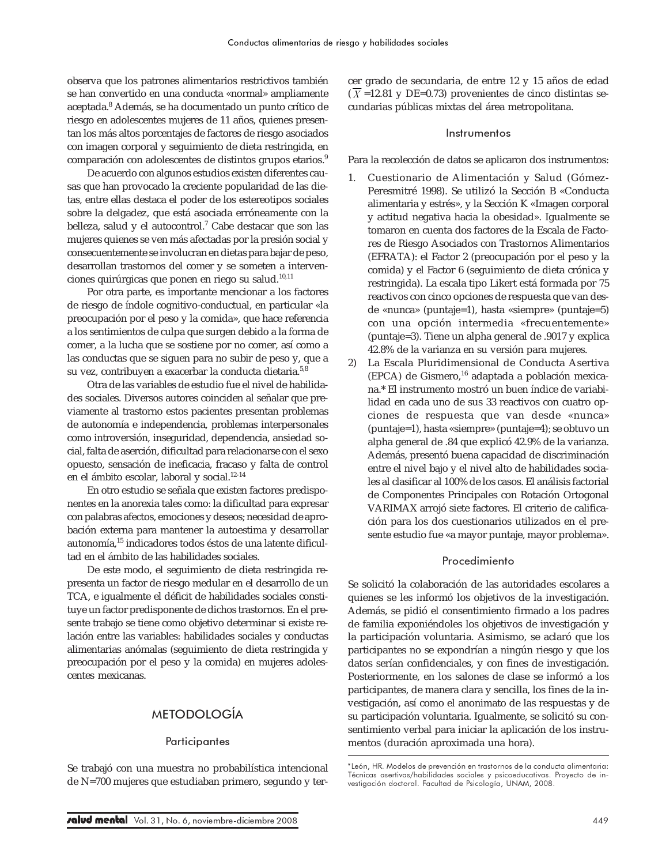observa que los patrones alimentarios restrictivos también se han convertido en una conducta «normal» ampliamente aceptada.<sup>8</sup> Además, se ha documentado un punto crítico de riesgo en adolescentes mujeres de 11 años, quienes presentan los más altos porcentajes de factores de riesgo asociados con imagen corporal y seguimiento de dieta restringida, en comparación con adolescentes de distintos grupos etarios.<sup>9</sup>

De acuerdo con algunos estudios existen diferentes causas que han provocado la creciente popularidad de las dietas, entre ellas destaca el poder de los estereotipos sociales sobre la delgadez, que está asociada erróneamente con la belleza, salud y el autocontrol.<sup>7</sup> Cabe destacar que son las mujeres quienes se ven más afectadas por la presión social y consecuentemente se involucran en dietas para bajar de peso, desarrollan trastornos del comer y se someten a intervenciones quirúrgicas que ponen en riego su salud.<sup>10,11</sup>

Por otra parte, es importante mencionar a los factores de riesgo de índole cognitivo-conductual, en particular «la preocupación por el peso y la comida», que hace referencia a los sentimientos de culpa que surgen debido a la forma de comer, a la lucha que se sostiene por no comer, así como a las conductas que se siguen para no subir de peso y, que a su vez, contribuyen a exacerbar la conducta dietaria.<sup>5,8</sup>

Otra de las variables de estudio fue el nivel de habilidades sociales. Diversos autores coinciden al señalar que previamente al trastorno estos pacientes presentan problemas de autonomía e independencia, problemas interpersonales como introversión, inseguridad, dependencia, ansiedad social, falta de aserción, dificultad para relacionarse con el sexo opuesto, sensación de ineficacia, fracaso y falta de control en el ámbito escolar, laboral y social.<sup>12-14</sup>

En otro estudio se señala que existen factores predisponentes en la anorexia tales como: la dificultad para expresar con palabras afectos, emociones y deseos; necesidad de aprobación externa para mantener la autoestima y desarrollar autonomía,15 indicadores todos éstos de una latente dificultad en el ámbito de las habilidades sociales.

De este modo, el seguimiento de dieta restringida representa un factor de riesgo medular en el desarrollo de un TCA, e igualmente el déficit de habilidades sociales constituye un factor predisponente de dichos trastornos. En el presente trabajo se tiene como objetivo determinar si existe relación entre las variables: habilidades sociales y conductas alimentarias anómalas (seguimiento de dieta restringida y preocupación por el peso y la comida) en mujeres adolescentes mexicanas.

# METODOLOGÍA

### **Participantes**

Se trabajó con una muestra no probabilística intencional de N=700 mujeres que estudiaban primero, segundo y tercer grado de secundaria, de entre 12 y 15 años de edad  $(\overline{X}$  =12.81 y DE=0.73) provenientes de cinco distintas secundarias públicas mixtas del área metropolitana.

#### Instrumentos

Para la recolección de datos se aplicaron dos instrumentos:

- 1. Cuestionario de Alimentación y Salud (Gómez-Peresmitré 1998). Se utilizó la Sección B «Conducta alimentaria y estrés», y la Sección K «Imagen corporal y actitud negativa hacia la obesidad». Igualmente se tomaron en cuenta dos factores de la Escala de Factores de Riesgo Asociados con Trastornos Alimentarios (EFRATA): el Factor 2 (preocupación por el peso y la comida) y el Factor 6 (seguimiento de dieta crónica y restringida). La escala tipo Likert está formada por 75 reactivos con cinco opciones de respuesta que van desde «nunca» (puntaje=1), hasta «siempre» (puntaje=5) con una opción intermedia «frecuentemente» (puntaje=3). Tiene un alpha general de .9017 y explica 42.8% de la varianza en su versión para mujeres.
- 2) La Escala Pluridimensional de Conducta Asertiva (EPCA) de Gismero,<sup>16</sup> adaptada a población mexicana.\* El instrumento mostró un buen índice de variabilidad en cada uno de sus 33 reactivos con cuatro opciones de respuesta que van desde «nunca» (puntaje=1), hasta «siempre» (puntaje=4); se obtuvo un alpha general de .84 que explicó 42.9% de la varianza. Además, presentó buena capacidad de discriminación entre el nivel bajo y el nivel alto de habilidades sociales al clasificar al 100% de los casos. El análisis factorial de Componentes Principales con Rotación Ortogonal VARIMAX arrojó siete factores. El criterio de calificación para los dos cuestionarios utilizados en el presente estudio fue «a mayor puntaje, mayor problema».

#### Procedimiento

Se solicitó la colaboración de las autoridades escolares a quienes se les informó los objetivos de la investigación. Además, se pidió el consentimiento firmado a los padres de familia exponiéndoles los objetivos de investigación y la participación voluntaria. Asimismo, se aclaró que los participantes no se expondrían a ningún riesgo y que los datos serían confidenciales, y con fines de investigación. Posteriormente, en los salones de clase se informó a los participantes, de manera clara y sencilla, los fines de la investigación, así como el anonimato de las respuestas y de su participación voluntaria. Igualmente, se solicitó su consentimiento verbal para iniciar la aplicación de los instrumentos (duración aproximada una hora).

<sup>\*</sup>León, HR. Modelos de prevención en trastornos de la conducta alimentaria: Técnicas asertivas/habilidades sociales y psicoeducativas. Proyecto de investigación doctoral. Facultad de Psicología, UNAM, 2008.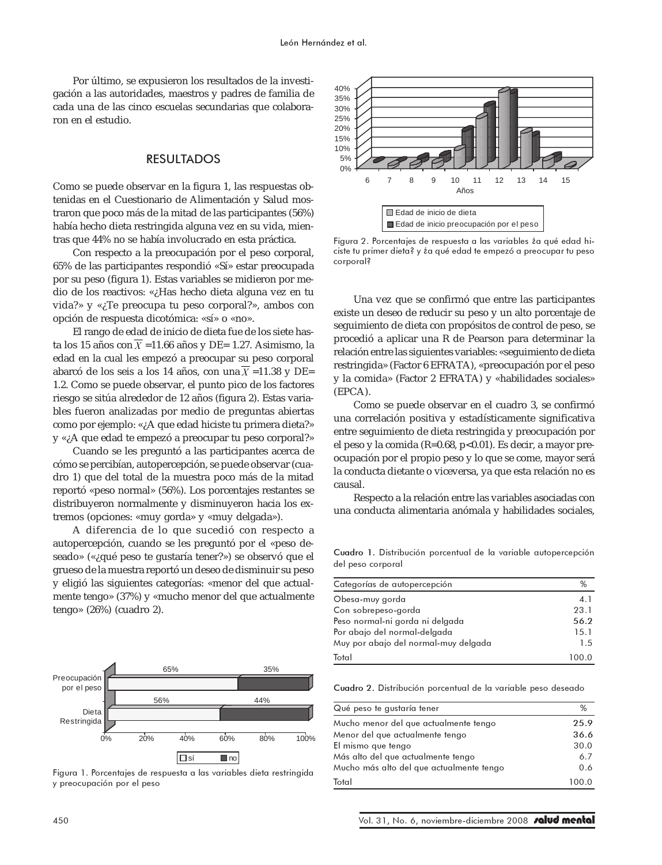Por último, se expusieron los resultados de la investigación a las autoridades, maestros y padres de familia de cada una de las cinco escuelas secundarias que colaboraron en el estudio.

## RESULTADOS

Como se puede observar en la figura 1, las respuestas obtenidas en el Cuestionario de Alimentación y Salud mostraron que poco más de la mitad de las participantes (56%) había hecho dieta restringida alguna vez en su vida, mientras que 44% no se había involucrado en esta práctica.

Con respecto a la preocupación por el peso corporal, 65% de las participantes respondió «Sí» estar preocupada por su peso (figura 1). Estas variables se midieron por medio de los reactivos: «¿Has hecho dieta alguna vez en tu vida?» y «¿Te preocupa tu peso corporal?», ambos con opción de respuesta dicotómica: «sí» o «no».

El rango de edad de inicio de dieta fue de los siete hasta los 15 años con  $\overline{X}$  =11.66 años y DE= 1.27. Asimismo, la edad en la cual les empezó a preocupar su peso corporal abarcó de los seis a los 14 años, con una  $\overline{X}$  =11.38 y DE= 1.2. Como se puede observar, el punto pico de los factores riesgo se sitúa alrededor de 12 años (figura 2). Estas variables fueron analizadas por medio de preguntas abiertas como por ejemplo: «¿A que edad hiciste tu primera dieta?» y «¿A que edad te empezó a preocupar tu peso corporal?»

Cuando se les preguntó a las participantes acerca de cómo se percibían, autopercepción, se puede observar (cuadro 1) que del total de la muestra poco más de la mitad reportó «peso normal» (56%). Los porcentajes restantes se distribuyeron normalmente y disminuyeron hacia los extremos (opciones: «muy gorda» y «muy delgada»).

A diferencia de lo que sucedió con respecto a autopercepción, cuando se les preguntó por el «peso deseado» («¿qué peso te gustaría tener?») se observó que el grueso de la muestra reportó un deseo de disminuir su peso y eligió las siguientes categorías: «menor del que actualmente tengo» (37%) y «mucho menor del que actualmente tengo» (26%) (cuadro 2).



Figura 1. Porcentajes de respuesta a las variables dieta restringida y preocupación por el peso



Figura 2. Porcentajes de respuesta a las variables *ia* qué edad hiciste tu primer dieta? y ¿a qué edad te empezó a preocupar tu peso corporal?

Una vez que se confirmó que entre las participantes existe un deseo de reducir su peso y un alto porcentaje de seguimiento de dieta con propósitos de control de peso, se procedió a aplicar una R de Pearson para determinar la relación entre las siguientes variables: «seguimiento de dieta restringida» (Factor 6 EFRATA), «preocupación por el peso y la comida» (Factor 2 EFRATA) y «habilidades sociales» (EPCA).

Como se puede observar en el cuadro 3, se confirmó una correlación positiva y estadísticamente significativa entre seguimiento de dieta restringida y preocupación por el peso y la comida (R=0.68, p<0.01). Es decir, a mayor preocupación por el propio peso y lo que se come, mayor será la conducta dietante o viceversa, ya que esta relación no es causal.

Respecto a la relación entre las variables asociadas con una conducta alimentaria anómala y habilidades sociales,

Cuadro 1. Distribución porcentual de la variable autopercepción del peso corporal

| Categorías de autopercepción         | %     |
|--------------------------------------|-------|
| Obesa-muy gorda                      | 4.1   |
| Con sobrepeso-gorda                  | 23.1  |
| Peso normal-ni gorda ni delgada      | 56.2  |
| Por abajo del normal-delgada         | 15.1  |
| Muy por abajo del normal-muy delgada | 1.5   |
| Total                                | 100.0 |

Cuadro 2. Distribución porcentual de la variable peso deseado

| Qué peso te gustaría tener               | %     |
|------------------------------------------|-------|
| Mucho menor del que actualmente tengo    | 25.9  |
| Menor del que actualmente tengo          | 36.6  |
| El mismo que tengo                       | 30.0  |
| Más alto del que actualmente tengo       | 6.7   |
| Mucho más alto del que actualmente tengo | 0.6   |
| Total                                    | 100.0 |
|                                          |       |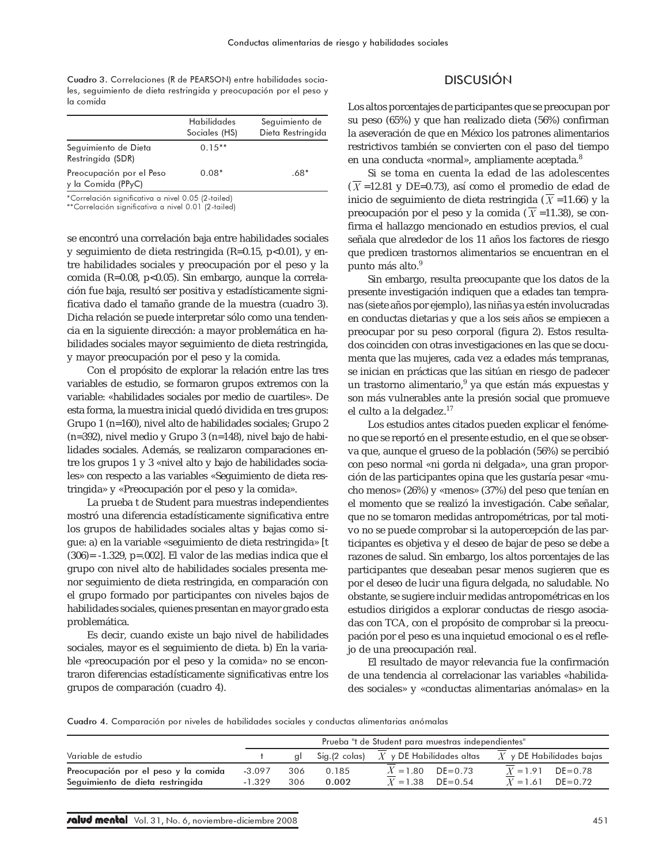Cuadro 3. Correlaciones (R de PEARSON) entre habilidades sociales, seguimiento de dieta restringida y preocupación por el peso y la comida

|                                                | Habilidades<br>Sociales (HS) | Seguimiento de<br>Dieta Restringida |
|------------------------------------------------|------------------------------|-------------------------------------|
| Seguimiento de Dieta<br>Restringida (SDR)      | $0.15**$                     |                                     |
| Preocupación por el Peso<br>y la Comida (PPyC) | $0.08*$                      | $.68*$                              |

\*Correlación significativa a nivel 0.05 (2-tailed)

\*\*Correlación significativa a nivel 0.01 (2-tailed)

se encontró una correlación baja entre habilidades sociales y seguimiento de dieta restringida (R=0.15, p<0.01), y entre habilidades sociales y preocupación por el peso y la comida (R=0.08, p<0.05). Sin embargo, aunque la correlación fue baja, resultó ser positiva y estadísticamente significativa dado el tamaño grande de la muestra (cuadro 3). Dicha relación se puede interpretar sólo como una tendencia en la siguiente dirección: a mayor problemática en habilidades sociales mayor seguimiento de dieta restringida, y mayor preocupación por el peso y la comida.

Con el propósito de explorar la relación entre las tres variables de estudio, se formaron grupos extremos con la variable: «habilidades sociales por medio de cuartiles». De esta forma, la muestra inicial quedó dividida en tres grupos: Grupo 1 (n=160), nivel alto de habilidades sociales; Grupo 2 (n=392), nivel medio y Grupo 3 (n=148), nivel bajo de habilidades sociales. Además, se realizaron comparaciones entre los grupos 1 y 3 «nivel alto y bajo de habilidades sociales» con respecto a las variables «Seguimiento de dieta restringida» y «Preocupación por el peso y la comida».

La prueba t de Student para muestras independientes mostró una diferencia estadísticamente significativa entre los grupos de habilidades sociales altas y bajas como sigue: a) en la variable «seguimiento de dieta restringida» [t (306)= -1.329, p=.002]. El valor de las medias indica que el grupo con nivel alto de habilidades sociales presenta menor seguimiento de dieta restringida, en comparación con el grupo formado por participantes con niveles bajos de habilidades sociales, quienes presentan en mayor grado esta problemática.

Es decir, cuando existe un bajo nivel de habilidades sociales, mayor es el seguimiento de dieta. b) En la variable «preocupación por el peso y la comida» no se encontraron diferencias estadísticamente significativas entre los grupos de comparación (cuadro 4).

# DISCUSIÓN

Los altos porcentajes de participantes que se preocupan por su peso (65%) y que han realizado dieta (56%) confirman la aseveración de que en México los patrones alimentarios restrictivos también se convierten con el paso del tiempo en una conducta «normal», ampliamente aceptada.<sup>8</sup>

Si se toma en cuenta la edad de las adolescentes  $(\overline{X}$  =12.81 y DE=0.73), así como el promedio de edad de inicio de seguimiento de dieta restringida ( $\overline{X}$  =11.66) y la preocupación por el peso y la comida ( $X = 11.38$ ), se confirma el hallazgo mencionado en estudios previos, el cual señala que alrededor de los 11 años los factores de riesgo que predicen trastornos alimentarios se encuentran en el punto más alto.<sup>9</sup>

Sin embargo, resulta preocupante que los datos de la presente investigación indiquen que a edades tan tempranas (siete años por ejemplo), las niñas ya estén involucradas en conductas dietarias y que a los seis años se empiecen a preocupar por su peso corporal (figura 2). Estos resultados coinciden con otras investigaciones en las que se documenta que las mujeres, cada vez a edades más tempranas, se inician en prácticas que las sitúan en riesgo de padecer un trastorno alimentario,<sup>9</sup> ya que están más expuestas y son más vulnerables ante la presión social que promueve el culto a la delgadez.<sup>17</sup>

Los estudios antes citados pueden explicar el fenómeno que se reportó en el presente estudio, en el que se observa que, aunque el grueso de la población (56%) se percibió con peso normal «ni gorda ni delgada», una gran proporción de las participantes opina que les gustaría pesar «mucho menos» (26%) y «menos» (37%) del peso que tenían en el momento que se realizó la investigación. Cabe señalar, que no se tomaron medidas antropométricas, por tal motivo no se puede comprobar si la autopercepción de las participantes es objetiva y el deseo de bajar de peso se debe a razones de salud. Sin embargo, los altos porcentajes de las participantes que deseaban pesar menos sugieren que es por el deseo de lucir una figura delgada, no saludable. No obstante, se sugiere incluir medidas antropométricas en los estudios dirigidos a explorar conductas de riesgo asociadas con TCA, con el propósito de comprobar si la preocupación por el peso es una inquietud emocional o es el reflejo de una preocupación real.

El resultado de mayor relevancia fue la confirmación de una tendencia al correlacionar las variables «habilidades sociales» y «conductas alimentarias anómalas» en la

Cuadro 4. Comparación por niveles de habilidades sociales y conductas alimentarias anómalas

|                                                                          |                      | Prueba "t de Student para muestras independientes" |                |                                          |                                                 |  |  |
|--------------------------------------------------------------------------|----------------------|----------------------------------------------------|----------------|------------------------------------------|-------------------------------------------------|--|--|
| Variable de estudio                                                      |                      |                                                    |                | Sig.(2 colas) $X$ y DE Habilidades altas | $X$ y DE Habilidades bajas                      |  |  |
| Preocupación por el peso y la comida<br>Seguimiento de dieta restringida | $-3.097$<br>$-1.329$ | 306<br>306                                         | 0.185<br>0.002 | $X = 1.80$ DE=0.73<br>$X = 1.38$ DE=0.54 | $X = 1.91$ DE=0.78<br>$DE = 0.72$<br>$X = 1.61$ |  |  |